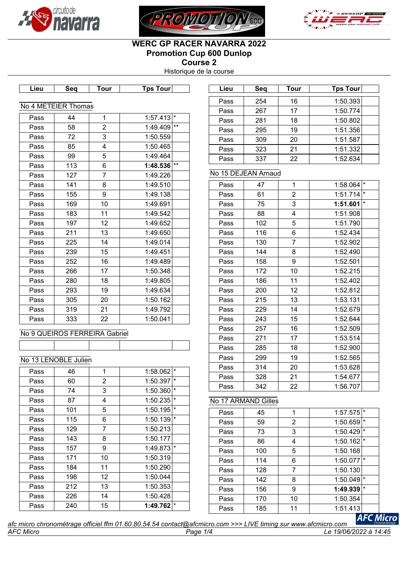





# **WERC GP RACER NAVARRA 2022 Promotion Cup 600 Dunlop Course 2**

Historique de la course

| Lieu         | Seq                           | <b>Tour</b>    | <b>Tps Tour</b>         |         |
|--------------|-------------------------------|----------------|-------------------------|---------|
|              |                               |                |                         |         |
|              | No 4 METEIER Thomas           |                |                         |         |
| Pass         | 44                            | 1              | $1:57.413$ <sup>*</sup> |         |
| Pass         | 58                            | $\overline{2}$ | 1:49.409                | $***$   |
| Pass         | 72                            | 3              | 1:50.559                |         |
| Pass         | 85                            | 4              | 1:50.465                |         |
| Pass         | 99                            | 5              | 1:49.464                |         |
| Pass         | 113                           | 6              | $1:48.536$ **           |         |
| Pass         | 127                           | $\overline{7}$ | 1:49.226                |         |
| Pass         | 141                           | 8              | 1:49.510                |         |
| Pass         | 155                           | 9              | 1:49.138                |         |
| Pass         | 169                           | 10             | 1:49.691                |         |
| Pass         | 183                           | 11             | 1:49.542                |         |
| Pass         | 197                           | 12             | 1:49.652                |         |
| Pass         | 211                           | 13             | 1:49.650                |         |
| Pass         | 225                           | 14             | 1:49.014                |         |
| Pass         | 239                           | 15             | 1:49.451                |         |
| Pass         | 252                           | 16             | 1:49.489                |         |
| Pass         | 266                           | 17             | 1:50.348                |         |
| Pass         | 280                           | 18             | 1:49.805                |         |
| Pass         | 293                           | 19             | 1:49.634                |         |
| Pass         | 305                           | 20             | 1:50.162                |         |
| Pass         | 319                           | 21             | 1:49.792                |         |
| Pass         | 333                           | 22             | 1:50.041                |         |
|              |                               |                |                         |         |
|              | No 9 QUEIROS FERREIRA Gabriel |                |                         |         |
|              |                               |                |                         |         |
|              | No 13 LENOBLE Julien          |                |                         |         |
| Pass         | 46                            | 1              | $1:58.062$ <sup>*</sup> |         |
| Pass         | 60                            | 2              | 1:50.397                | $\star$ |
| Pass         | 74                            |                | $1:50.360$ <sup>*</sup> |         |
| Pass         | 87                            | 3<br>4         | $1:50.235$ <sup>*</sup> |         |
| Pass         | 101                           | 5              | 1:50.195                | $\star$ |
| Pass         | 115                           | 6              | 1:50.139                |         |
|              | 129                           | $\overline{7}$ | 1:50.213                |         |
| Pass<br>Pass | 143                           | 8              | 1:50.177                |         |
|              | 157                           | 9              | 1:49.873                |         |
| Pass         |                               |                |                         |         |
| Pass         | 171<br>184                    | 10             | 1:50.319<br>1:50.290    |         |
| Pass         |                               | 11             |                         |         |
| Pass         | 198                           | 12             | 1:50.044                |         |
| Pass         | 212                           | 13             | 1:50.353                |         |
| Pass         | 226                           | 14             | 1:50.428                |         |
| Pass         | 240                           | 15             | 1:49.762                |         |

| Lieu | Seq | Tour | <b>Tps Tour</b> |  |
|------|-----|------|-----------------|--|
|      |     |      |                 |  |
| Pass | 254 | 16   | 1:50.393        |  |
| Pass | 267 | 17   | 1:50.774        |  |
| Pass | 281 | 18   | 1:50.802        |  |
| Pass | 295 | 19   | 1:51.356        |  |
| Pass | 309 | 20   | 1:51.587        |  |
| Pass | 323 | 21   | 1:51.332        |  |
| Pass | 337 | 22   | 1:52.634        |  |

### No 15 DEJEAN Arnaud

| Pass | 47  | 1              | 1:58.064 | *       |
|------|-----|----------------|----------|---------|
| Pass | 61  | $\overline{2}$ | 1:51.714 | $\star$ |
| Pass | 75  | 3              | 1:51.601 | $\star$ |
| Pass | 88  | 4              | 1:51.908 |         |
| Pass | 102 | 5              | 1:51.790 |         |
| Pass | 116 | 6              | 1:52.434 |         |
| Pass | 130 | 7              | 1:52.902 |         |
| Pass | 144 | 8              | 1:52.490 |         |
| Pass | 158 | 9              | 1:52.501 |         |
| Pass | 172 | 10             | 1:52.215 |         |
| Pass | 186 | 11             | 1:52.402 |         |
| Pass | 200 | 12             | 1:52.812 |         |
| Pass | 215 | 13             | 1:53.131 |         |
| Pass | 229 | 14             | 1:52.679 |         |
| Pass | 243 | 15             | 1:52.644 |         |
| Pass | 257 | 16             | 1:52.509 |         |
| Pass | 271 | 17             | 1:53.514 |         |
| Pass | 285 | 18             | 1:52.900 |         |
| Pass | 299 | 19             | 1:52.565 |         |
| Pass | 314 | 20             | 1:53.628 |         |
| Pass | 328 | 21             | 1:54.677 |         |
| Pass | 342 | 22             | 1:56.707 |         |

# No 17 ARMAND Gilles

| Pass | 45  |    | 1:57.575 |         |
|------|-----|----|----------|---------|
| Pass | 59  | 2  | 1:50.659 | $\star$ |
| Pass | 73  | 3  | 1:50.429 | $\star$ |
| Pass | 86  | 4  | 1:50.162 | $\star$ |
| Pass | 100 | 5  | 1:50.168 |         |
| Pass | 114 | 6  | 1:50.077 | $\star$ |
| Pass | 128 | 7  | 1:50.130 |         |
| Pass | 142 | 8  | 1:50.049 | $\star$ |
| Pass | 156 | 9  | 1:49.939 | $\star$ |
| Pass | 170 | 10 | 1:50.354 |         |
| Pass | 185 | 11 | 1:51.413 |         |

**AFC Micro** *afc micro chronométrage officiel ffm 01.60.80.54.54 contact@afcmicro.com >>> LIVE timing sur www.afcmicro.com AFC Micro Page 1/4 Le 19/06/2022 à 14:45*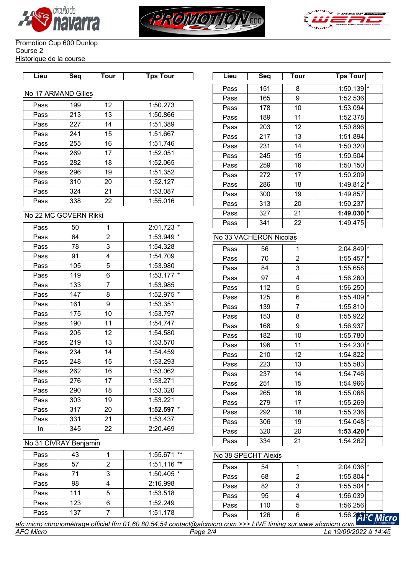





#### Promotion Cup 600 Dunlop Course 2 Historique de la course

| .ieu | sea | ™our | Tourl<br>Гps |  |
|------|-----|------|--------------|--|
|      |     |      |              |  |

# No 17 ARMAND Gilles

| Pass | 199 | 12 | 1:50.273 |
|------|-----|----|----------|
| Pass | 213 | 13 | 1:50.866 |
| Pass | 227 | 14 | 1:51.389 |
| Pass | 241 | 15 | 1:51.667 |
| Pass | 255 | 16 | 1:51.746 |
| Pass | 269 | 17 | 1:52.051 |
| Pass | 282 | 18 | 1:52.065 |
| Pass | 296 | 19 | 1:51.352 |
| Pass | 310 | 20 | 1:52.127 |
| Pass | 324 | 21 | 1:53.087 |
| Pass | 338 | 22 | 1:55.016 |

### No 22 MC GOVERN Rikki

| Pass | 50  | 1              | $2:01.723$ <sup>*</sup> |         |
|------|-----|----------------|-------------------------|---------|
| Pass | 64  | $\overline{2}$ | 1:53.949                | $\star$ |
| Pass | 78  | 3              | 1:54.328                |         |
| Pass | 91  | 4              | 1:54.709                |         |
| Pass | 105 | 5              | 1:53.980                |         |
| Pass | 119 | 6              | 1:53.177                | $\star$ |
| Pass | 133 | $\overline{7}$ | 1:53.985                |         |
| Pass | 147 | 8              | 1:52.975                | $\star$ |
| Pass | 161 | 9              | 1:53.351                |         |
| Pass | 175 | 10             | 1:53.797                |         |
| Pass | 190 | 11             | 1:54.747                |         |
| Pass | 205 | 12             | 1:54.580                |         |
| Pass | 219 | 13             | 1:53.570                |         |
| Pass | 234 | 14             | 1:54.459                |         |
| Pass | 248 | 15             | 1:53.293                |         |
| Pass | 262 | 16             | 1:53.062                |         |
| Pass | 276 | 17             | 1:53.271                |         |
| Pass | 290 | 18             | 1:53.320                |         |
| Pass | 303 | 19             | 1:53.221                |         |
| Pass | 317 | 20             | 1:52.597                | ¥       |
| Pass | 331 | 21             | 1:53.437                |         |
| In   | 345 | 22             | 2:20.469                |         |

| Lieu | Seq                     | <b>Tour</b>     | <b>Tps Tour</b>         | Lieu | Seq | Tour | Tps Tour                |  |
|------|-------------------------|-----------------|-------------------------|------|-----|------|-------------------------|--|
|      |                         |                 |                         | Pass | 151 | 8    | $1:50.139$ <sup>*</sup> |  |
|      | <b>17 ARMAND Gilles</b> |                 |                         | Pass | 165 | 9    | 1:52.536                |  |
| Pass | 199                     | 12 <sup>2</sup> | 1:50.273                | Pass | 178 | 10   | 1:53.094                |  |
| Pass | 213                     | 13              | 1:50.866                | Pass | 189 | 11   | 1:52.378                |  |
| Pass | 227                     | 14              | 1:51.389                | Pass | 203 | 12   | 1:50.896                |  |
| Pass | 241                     | 15              | 1:51.667                | Pass | 217 | 13   | 1:51.894                |  |
| Pass | 255                     | 16              | 1:51.746                | Pass | 231 | 14   | 1:50.320                |  |
| Pass | 269                     | 17              | 1:52.051                | Pass | 245 | 15   | 1:50.504                |  |
| Pass | 282                     | 18              | 1:52.065                | Pass | 259 | 16   | 1:50.150                |  |
| Pass | 296                     | 19              | 1:51.352                | Pass | 272 | 17   | 1:50.209                |  |
| Pass | 310                     | 20              | 1:52.127                | Pass | 286 | 18   | $1:49.812$ <sup>*</sup> |  |
| Pass | 324                     | 21              | 1:53.087                | Pass | 300 | 19   | 1:49.857                |  |
| Pass | 338                     | 22              | 1:55.016                | Pass | 313 | 20   | 1:50.237                |  |
|      | 22 MC GOVERN Rikki      |                 |                         | Pass | 327 | 21   | $1:49.030$ <sup>*</sup> |  |
|      |                         |                 | $2:01.723$ <sup>*</sup> | Pass | 341 | 22   | 1:49.475                |  |
| Pass | 50                      |                 |                         |      |     |      |                         |  |

## No 33 VACHERON Nicolas

| Pass | 56  | 1              | l∗<br>2:04.849      |  |
|------|-----|----------------|---------------------|--|
| Pass | 70  | $\overline{c}$ | $\star$<br>1:55.457 |  |
| Pass | 84  | 3              | 1:55.658            |  |
| Pass | 97  | 4              | 1:56.260            |  |
| Pass | 112 | 5              | 1:56.250            |  |
| Pass | 125 | 6              | ×<br>1:55.409       |  |
| Pass | 139 | $\overline{7}$ | 1:55.810            |  |
| Pass | 153 | 8              | 1:55.922            |  |
| Pass | 168 | 9              | 1:56.937            |  |
| Pass | 182 | 10             | 1:55.780            |  |
| Pass | 196 | 11             | $\star$<br>1:54.230 |  |
| Pass | 210 | 12             | 1:54.822            |  |
| Pass | 223 | 13             | 1:55.583            |  |
| Pass | 237 | 14             | 1:54.746            |  |
| Pass | 251 | 15             | 1:54.966            |  |
| Pass | 265 | 16             | 1:55.068            |  |
| Pass | 279 | 17             | 1:55.269            |  |
| Pass | 292 | 18             | 1:55.236            |  |
| Pass | 306 | 19             | l*<br>1:54.048      |  |
| Pass | 320 | 20             | $\star$<br>1:53.420 |  |
| Pass | 334 | 21             | 1:54.262            |  |

## No 31 CIVRAY Benjamin

| Pass | 43  | $1**$<br>1:55.671       |  |
|------|-----|-------------------------|--|
| Pass | 57  | $1:51.116$ **           |  |
| Pass | 71  | $1:50.405$ <sup>*</sup> |  |
| Pass | 98  | 2:16.998                |  |
| Pass | 111 | 1:53.518                |  |
| Pass | 123 | 1:52.249                |  |
| Pass | 137 | 1:51.178                |  |

# No 38 SPECHT Alexis

| Pass | 54  |   | $2:04.036$ <sup>*</sup> |  |
|------|-----|---|-------------------------|--|
| Pass | 68  |   | $1:55.804$ *            |  |
| Pass | 82  |   | $1:55.504$ $*$          |  |
| Pass | 95  |   | 1:56.039                |  |
| Pass | 110 | 5 | 1:56.256                |  |
| Pass | 126 |   | 1:56.295                |  |

ro: *afc micro chronométrage officiel ffm 01.60.80.54.54 contact@afcmicro.com >>> LIVE timing sur www.afcmicro.com AFC Micro Page 2/4 Le 19/06/2022 à 14:45*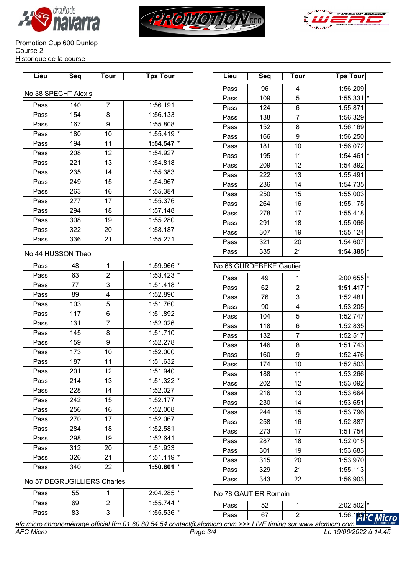





#### Promotion Cup 600 Dunlop Course 2 Historique de la course

| ∟ieu | Sea | Tour | Tɒs Tourl |  |
|------|-----|------|-----------|--|

### No 38 SPECHT Alexis

| Pass | 140 | 7  | 1:56.191 |          |
|------|-----|----|----------|----------|
| Pass | 154 | 8  | 1:56.133 |          |
| Pass | 167 | 9  | 1:55.808 |          |
| Pass | 180 | 10 | 1:55.419 | $^\star$ |
| Pass | 194 | 11 | 1:54.547 | $\star$  |
| Pass | 208 | 12 | 1:54.927 |          |
| Pass | 221 | 13 | 1:54.818 |          |
| Pass | 235 | 14 | 1:55.383 |          |
| Pass | 249 | 15 | 1:54.967 |          |
| Pass | 263 | 16 | 1:55.384 |          |
| Pass | 277 | 17 | 1:55.376 |          |
| Pass | 294 | 18 | 1:57.148 |          |
| Pass | 308 | 19 | 1:55.280 |          |
| Pass | 322 | 20 | 1:58.187 |          |
| Pass | 336 | 21 | 1:55.271 |          |

## No 44 HUSSON Theo

| Pass | 48  | 1              | 1:59.966 | $\star$ |
|------|-----|----------------|----------|---------|
| Pass | 63  | 2              | 1:53.423 | $\star$ |
| Pass | 77  | 3              | 1:51.418 | $\star$ |
| Pass | 89  | 4              | 1:52.890 |         |
| Pass | 103 | 5              | 1:51.760 |         |
| Pass | 117 | 6              | 1:51.892 |         |
| Pass | 131 | $\overline{7}$ | 1:52.026 |         |
| Pass | 145 | 8              | 1:51.710 |         |
| Pass | 159 | 9              | 1:52.278 |         |
| Pass | 173 | 10             | 1:52.000 |         |
| Pass | 187 | 11             | 1:51.632 |         |
| Pass | 201 | 12             | 1:51.940 |         |
| Pass | 214 | 13             | 1:51.322 | $\star$ |
| Pass | 228 | 14             | 1:52.027 |         |
| Pass | 242 | 15             | 1:52.177 |         |
| Pass | 256 | 16             | 1:52.008 |         |
| Pass | 270 | 17             | 1:52.067 |         |
| Pass | 284 | 18             | 1:52.581 |         |
| Pass | 298 | 19             | 1:52.641 |         |
| Pass | 312 | 20             | 1:51.933 |         |
| Pass | 326 | 21             | 1:51.119 | $\star$ |
| Pass | 340 | 22             | 1:50.801 | $\star$ |

| Lieu | Seq              | Tour           | <b>Tps Tour</b>         | Lieu | Seq | <b>Tour</b>    | Tps Tour                |
|------|------------------|----------------|-------------------------|------|-----|----------------|-------------------------|
|      |                  |                |                         | Pass | 96  | 4              | 1:56.209                |
|      | 38 SPECHT Alexis |                |                         | Pass | 109 | 5              | $1:55.331$ $*$          |
| Pass | 140              | $\overline{7}$ | 1:56.191                | Pass | 124 | 6              | 1:55.871                |
| Pass | 154              | 8              | 1:56.133                | Pass | 138 | $\overline{7}$ | 1:56.329                |
| Pass | 167              | 9              | 1:55.808                | Pass | 152 | 8              | 1:56.169                |
| Pass | 180              | 10             | $1:55.419$ <sup>*</sup> | Pass | 166 | 9              | 1:56.250                |
| Pass | 194              | 11             | $1:54.547$ $*$          | Pass | 181 | 10             | 1:56.072                |
| Pass | 208              | 12             | 1:54.927                | Pass | 195 | 11             | $1:54.461$ <sup>*</sup> |
| Pass | 221              | 13             | 1:54.818                | Pass | 209 | 12             | 1:54.892                |
| Pass | 235              | 14             | 1:55.383                | Pass | 222 | 13             | 1:55.491                |
| Pass | 249              | 15             | 1:54.967                | Pass | 236 | 14             | 1:54.735                |
| Pass | 263              | 16             | 1:55.384                | Pass | 250 | 15             | 1:55.003                |
| Pass | 277              | 17             | 1:55.376                | Pass | 264 | 16             | 1:55.175                |
| Pass | 294              | 18             | 1:57.148                | Pass | 278 | 17             | 1:55.418                |
| Pass | 308              | 19             | 1:55.280                | Pass | 291 | 18             | 1:55.066                |
| Pass | 322              | 20             | 1:58.187                | Pass | 307 | 19             | 1:55.124                |
| Pass | 336              | 21             | 1:55.271                | Pass | 321 | 20             | 1:54.607                |
|      |                  |                |                         |      |     |                | $1:54.385$ <sup>*</sup> |
|      | 44 HUSSON Theo   |                |                         | Pass | 335 | 21             |                         |

# No 66 GURDEBEKE Gautier

| Pass | 49  | 1              | ١*<br>2:00.655      |
|------|-----|----------------|---------------------|
| Pass | 62  | $\overline{2}$ | $\star$<br>1:51.417 |
| Pass | 76  | 3              | 1:52.481            |
| Pass | 90  | 4              | 1:53.205            |
| Pass | 104 | 5              | 1:52.747            |
| Pass | 118 | 6              | 1:52.835            |
| Pass | 132 | $\overline{7}$ | 1:52.517            |
| Pass | 146 | 8              | 1:51.743            |
| Pass | 160 | 9              | 1:52.476            |
| Pass | 174 | 10             | 1:52.503            |
| Pass | 188 | 11             | 1:53.266            |
| Pass | 202 | 12             | 1:53.092            |
| Pass | 216 | 13             | 1:53.664            |
| Pass | 230 | 14             | 1:53.651            |
| Pass | 244 | 15             | 1:53.796            |
| Pass | 258 | 16             | 1:52.887            |
| Pass | 273 | 17             | 1:51.754            |
| Pass | 287 | 18             | 1:52.015            |
| Pass | 301 | 19             | 1:53.683            |
| Pass | 315 | 20             | 1:53.970            |
| Pass | 329 | 21             | 1:55.113            |
| Pass | 343 | 22             | 1:56.903            |

### No 57 DEGRUGILLIERS Charles

| Pass | 55       | $2:04.285$ <sup>*</sup> | No 78 GAUTIER Romain |          |                          |
|------|----------|-------------------------|----------------------|----------|--------------------------|
| Pass | 69       | $1:55.744$ $*$          | Pass                 | r o<br>ັ | $2:02.502$ <sup>*</sup>  |
| Pass | o٥<br>ია | $1:55.536$  *           | Pass                 | ^¬<br>O. | 1:56.1<br><b>C</b> Micro |

*AFC Micro Page 3/4 Le 19/06/2022 à 14:45 afc micro chronométrage officiel ffm 01.60.80.54.54 contact@afcmicro.com >>> LIVE timing sur www.afcmicro.com*